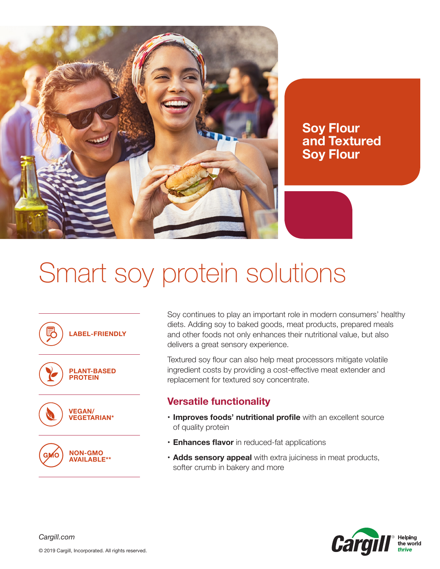

**Soy Flour and Textured Soy Flour**

## Smart soy protein solutions



Soy continues to play an important role in modern consumers' healthy diets. Adding soy to baked goods, meat products, prepared meals and other foods not only enhances their nutritional value, but also delivers a great sensory experience.

Textured soy flour can also help meat processors mitigate volatile ingredient costs by providing a cost-effective meat extender and replacement for textured soy concentrate.

## **Versatile functionality**

- **• Improves foods' nutritional profile** with an excellent source of quality protein
- **• Enhances flavor** in reduced-fat applications
- **• Adds sensory appeal** with extra juiciness in meat products, softer crumb in bakery and more



*Cargill.com*